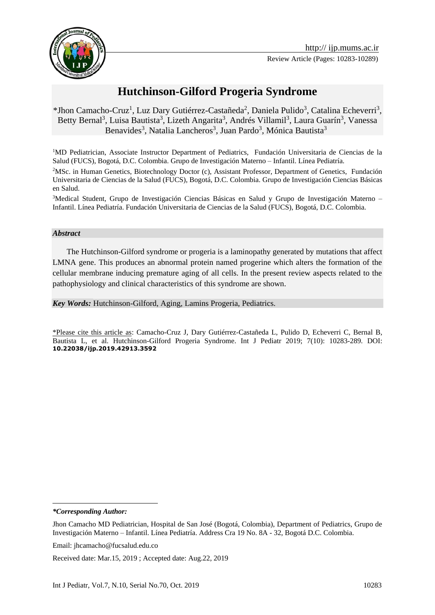

# **Hutchinson-Gilford Progeria Syndrome**

## \*Jhon Camacho-Cruz<sup>1</sup>, Luz Dary Gutiérrez-Castañeda<sup>2</sup>, Daniela Pulido<sup>3</sup>, Catalina Echeverri<sup>3</sup>, Betty Bernal<sup>3</sup>, Luisa Bautista<sup>3</sup>, Lizeth Angarita<sup>3</sup>, Andrés Villamil<sup>3</sup>, Laura Guarín<sup>3</sup>, Vanessa Benavides<sup>3</sup>, Natalia Lancheros<sup>3</sup>, Juan Pardo<sup>3</sup>, Mónica Bautista<sup>3</sup>

<sup>1</sup>MD Pediatrician, Associate Instructor Department of Pediatrics, Fundación Universitaria de Ciencias de la Salud (FUCS), Bogotá, D.C. Colombia. Grupo de Investigación Materno – Infantil. Línea Pediatría.

<sup>2</sup>MSc. in Human Genetics, Biotechnology Doctor (c), Assistant Professor, Department of Genetics, Fundación Universitaria de Ciencias de la Salud (FUCS), Bogotá, D.C. Colombia. Grupo de Investigación Ciencias Básicas en Salud.

<sup>3</sup>Medical Student, Grupo de Investigación Ciencias Básicas en Salud y Grupo de Investigación Materno – Infantil. Línea Pediatría. Fundación Universitaria de Ciencias de la Salud (FUCS), Bogotá, D.C. Colombia.

#### *Abstract*

 The Hutchinson-Gilford syndrome or progeria is a laminopathy generated by mutations that affect LMNA gene. This produces an abnormal protein named progerine which alters the formation of the cellular membrane inducing premature aging of all cells. In the present review aspects related to the pathophysiology and clinical characteristics of this syndrome are shown.

*Key Words:* Hutchinson-Gilford, Aging, Lamins Progeria, Pediatrics.

\*Please cite this article as: Camacho-Cruz J, Dary Gutiérrez-Castañeda L, Pulido D, Echeverri C, Bernal B, Bautista L, et al. Hutchinson-Gilford Progeria Syndrome. Int J Pediatr 2019; 7(10): 10283-289. DOI: **10.22038/ijp.2019.42913.3592**

*\*Corresponding Author:*

1

Received date: Mar.15, 2019 ; Accepted date: Aug.22, 2019

Jhon Camacho MD Pediatrician, Hospital de San José (Bogotá, Colombia), Department of Pediatrics, Grupo de Investigación Materno – Infantil. Línea Pediatría. Address Cra 19 No. 8A - 32, Bogotá D.C. Colombia.

Email: jhcamacho@fucsalud.edu.co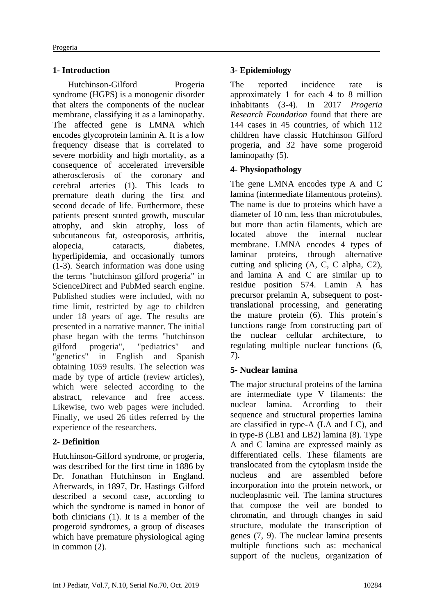# **1- Introduction**

 Hutchinson-Gilford Progeria syndrome (HGPS) is a monogenic disorder that alters the components of the nuclear membrane, classifying it as a laminopathy. The affected gene is LMNA which encodes glycoprotein laminin A. It is a low frequency disease that is correlated to severe morbidity and high mortality, as a consequence of accelerated irreversible atherosclerosis of the coronary and cerebral arteries (1). This leads to premature death during the first and second decade of life. Furthermore, these patients present stunted growth, muscular atrophy, and skin atrophy, loss of subcutaneous fat, osteoporosis, arthritis, alopecia, cataracts, diabetes, hyperlipidemia, and occasionally tumors (1-3). Search information was done using the terms "hutchinson gilford progeria" in ScienceDirect and PubMed search engine. Published studies were included, with no time limit, restricted by age to children under 18 years of age. The results are presented in a narrative manner. The initial phase began with the terms "hutchinson gilford progeria", "pediatrics" and "genetics" in English and Spanish obtaining 1059 results. The selection was made by type of article (review articles), which were selected according to the abstract, relevance and free access. Likewise, two web pages were included. Finally, we used 26 titles referred by the experience of the researchers.

# **2- Definition**

Hutchinson-Gilford syndrome, or progeria, was described for the first time in 1886 by Dr. Jonathan Hutchinson in England. Afterwards, in 1897, Dr. Hastings Gilford described a second case, according to which the syndrome is named in honor of both clinicians (1). It is a member of the progeroid syndromes, a group of diseases which have premature physiological aging in common (2).

# **3- Epidemiology**

The reported incidence rate is approximately 1 for each 4 to 8 million inhabitants (3-4). In 2017 *Progeria Research Foundation* found that there are 144 cases in 45 countries, of which 112 children have classic Hutchinson Gilford progeria, and 32 have some progeroid laminopathy (5).

# **4- Physiopathology**

The gene LMNA encodes type A and C lamina (intermediate filamentous proteins). The name is due to proteins which have a diameter of 10 nm, less than microtubules, but more than actin filaments, which are located above the internal nuclear membrane. LMNA encodes 4 types of laminar proteins, through alternative cutting and splicing (A, C, C alpha, C2), and lamina A and C are similar up to residue position 574. Lamin A has precursor prelamin A, subsequent to posttranslational processing, and generating the mature protein (6). This protein´s functions range from constructing part of the nuclear cellular architecture, to regulating multiple nuclear functions (6, 7).

# **5- Nuclear lamina**

The major structural proteins of the lamina are intermediate type V filaments: the nuclear lamina. According to their sequence and structural properties lamina are classified in type-A (LA and LC), and in type-B (LB1 and LB2) lamina (8). Type A and C lamina are expressed mainly as differentiated cells. These filaments are translocated from the cytoplasm inside the nucleus and are assembled before incorporation into the protein network, or nucleoplasmic veil. The lamina structures that compose the veil are bonded to chromatin, and through changes in said structure, modulate the transcription of genes (7, 9). The nuclear lamina presents multiple functions such as: mechanical support of the nucleus, organization of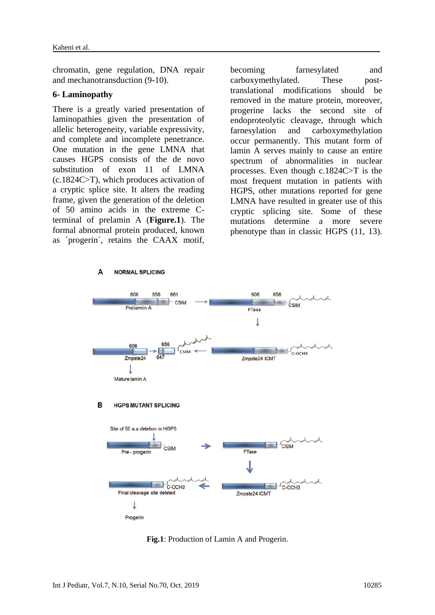chromatin, gene regulation, DNA repair and mechanotransduction (9-10).

#### **6- Laminopathy**

There is a greatly varied presentation of laminopathies given the presentation of allelic heterogeneity, variable expressivity, and complete and incomplete penetrance. One mutation in the gene LMNA that causes HGPS consists of the de novo substitution of exon 11 of LMNA (c.1824C>T), which produces activation of a cryptic splice site. It alters the reading frame, given the generation of the deletion of 50 amino acids in the extreme Cterminal of prelamin A (**Figure.1**). The formal abnormal protein produced, known as ´progerin´, retains the CAAX motif,

becoming farnesylated and carboxymethylated. These posttranslational modifications should be removed in the mature protein, moreover, progerine lacks the second site of endoproteolytic cleavage, through which farnesylation and carboxymethylation occur permanently. This mutant form of lamin A serves mainly to cause an entire spectrum of abnormalities in nuclear processes. Even though c.1824C>T is the most frequent mutation in patients with HGPS, other mutations reported for gene LMNA have resulted in greater use of this cryptic splicing site. Some of these mutations determine a more severe phenotype than in classic HGPS (11, 13).



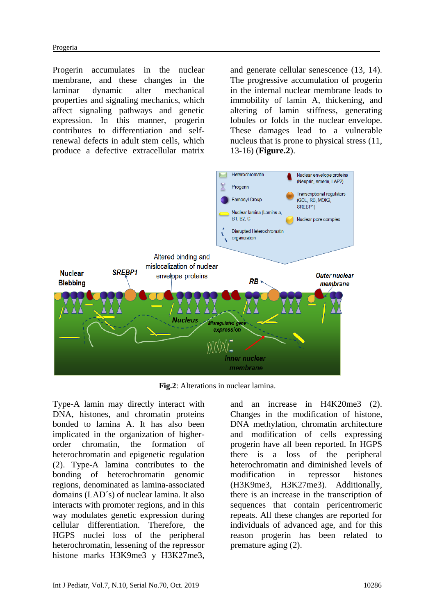Progerin accumulates in the nuclear membrane, and these changes in the laminar dynamic alter mechanical properties and signaling mechanics, which affect signaling pathways and genetic expression. In this manner, progerin contributes to differentiation and selfrenewal defects in adult stem cells, which produce a defective extracellular matrix

and generate cellular senescence (13, 14). The progressive accumulation of progerin in the internal nuclear membrane leads to immobility of lamin A, thickening, and altering of lamin stiffness, generating lobules or folds in the nuclear envelope. These damages lead to a vulnerable nucleus that is prone to physical stress (11, 13-16) (**Figure.2**).



**Fig.2**: Alterations in nuclear lamina.

Type-A lamin may directly interact with DNA, histones, and chromatin proteins bonded to lamina A. It has also been implicated in the organization of higherorder chromatin, the formation of heterochromatin and epigenetic regulation (2). Type-A lamina contributes to the bonding of heterochromatin genomic regions, denominated as lamina-associated domains (LAD´s) of nuclear lamina. It also interacts with promoter regions, and in this way modulates genetic expression during cellular differentiation. Therefore, the HGPS nuclei loss of the peripheral heterochromatin, lessening of the repressor histone marks H3K9me3 y H3K27me3,

and an increase in H4K20me3 (2). Changes in the modification of histone, DNA methylation, chromatin architecture and modification of cells expressing progerin have all been reported. In HGPS there is a loss of the peripheral heterochromatin and diminished levels of modification in repressor histones (H3K9me3, H3K27me3). Additionally, there is an increase in the transcription of sequences that contain pericentromeric repeats. All these changes are reported for individuals of advanced age, and for this reason progerin has been related to premature aging (2).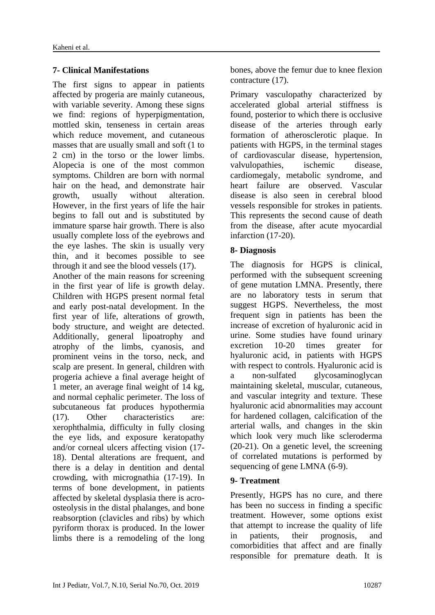### **7- Clinical Manifestations**

The first signs to appear in patients affected by progeria are mainly cutaneous, with variable severity. Among these signs we find: regions of hyperpigmentation, mottled skin, tenseness in certain areas which reduce movement, and cutaneous masses that are usually small and soft (1 to 2 cm) in the torso or the lower limbs. Alopecia is one of the most common symptoms. Children are born with normal hair on the head, and demonstrate hair growth, usually without alteration. However, in the first years of life the hair begins to fall out and is substituted by immature sparse hair growth. There is also usually complete loss of the eyebrows and the eye lashes. The skin is usually very thin, and it becomes possible to see through it and see the blood vessels (17).

Another of the main reasons for screening in the first year of life is growth delay. Children with HGPS present normal fetal and early post-natal development. In the first year of life, alterations of growth, body structure, and weight are detected. Additionally, general lipoatrophy and atrophy of the limbs, cyanosis, and prominent veins in the torso, neck, and scalp are present. In general, children with progeria achieve a final average height of 1 meter, an average final weight of 14 kg, and normal cephalic perimeter. The loss of subcutaneous fat produces hypothermia (17). Other characteristics are: xerophthalmia, difficulty in fully closing the eye lids, and exposure keratopathy and/or corneal ulcers affecting vision (17- 18). Dental alterations are frequent, and there is a delay in dentition and dental crowding, with micrognathia (17-19). In terms of bone development, in patients affected by skeletal dysplasia there is acroosteolysis in the distal phalanges, and bone reabsorption (clavicles and ribs) by which pyriform thorax is produced. In the lower limbs there is a remodeling of the long bones, above the femur due to knee flexion contracture (17).

Primary vasculopathy characterized by accelerated global arterial stiffness is found, posterior to which there is occlusive disease of the arteries through early formation of atherosclerotic plaque. In patients with HGPS, in the terminal stages of cardiovascular disease, hypertension, valvulopathies, ischemic disease, cardiomegaly, metabolic syndrome, and heart failure are observed. Vascular disease is also seen in cerebral blood vessels responsible for strokes in patients. This represents the second cause of death from the disease, after acute myocardial infarction (17-20).

### **8- Diagnosis**

The diagnosis for HGPS is clinical, performed with the subsequent screening of gene mutation LMNA. Presently, there are no laboratory tests in serum that suggest HGPS. Nevertheless, the most frequent sign in patients has been the increase of excretion of hyaluronic acid in urine. Some studies have found urinary excretion 10-20 times greater for hyaluronic acid, in patients with HGPS with respect to controls. Hyaluronic acid is a non-sulfated glycosaminoglycan maintaining skeletal, muscular, cutaneous, and vascular integrity and texture. These hyaluronic acid abnormalities may account for hardened collagen, calcification of the arterial walls, and changes in the skin which look very much like scleroderma (20-21). On a genetic level, the screening of correlated mutations is performed by sequencing of gene LMNA (6-9).

### **9- Treatment**

Presently, HGPS has no cure, and there has been no success in finding a specific treatment. However, some options exist that attempt to increase the quality of life in patients, their prognosis, and comorbidities that affect and are finally responsible for premature death. It is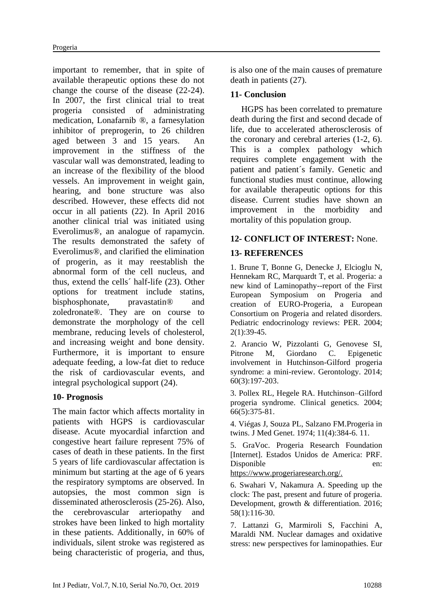important to remember, that in spite of available therapeutic options these do not change the course of the disease (22-24). In 2007, the first clinical trial to treat progeria consisted of administrating medication, Lonafarnib ®, a farnesylation inhibitor of preprogerin, to 26 children aged between 3 and 15 years. An improvement in the stiffness of the vascular wall was demonstrated, leading to an increase of the flexibility of the blood vessels. An improvement in weight gain, hearing, and bone structure was also described. However, these effects did not occur in all patients (22). In April 2016 another clinical trial was initiated using Everolimus®, an analogue of rapamycin. The results demonstrated the safety of Everolimus®, and clarified the elimination of progerin, as it may reestablish the abnormal form of the cell nucleus, and thus, extend the cells´ half-life (23). Other options for treatment include statins, bisphosphonate, pravastatin® and zoledronate®. They are on course to demonstrate the morphology of the cell membrane, reducing levels of cholesterol, and increasing weight and bone density. Furthermore, it is important to ensure adequate feeding, a low-fat diet to reduce the risk of cardiovascular events, and integral psychological support (24).

#### **10- Prognosis**

The main factor which affects mortality in patients with HGPS is cardiovascular disease. Acute myocardial infarction and congestive heart failure represent 75% of cases of death in these patients. In the first 5 years of life cardiovascular affectation is minimum but starting at the age of 6 years the respiratory symptoms are observed. In autopsies, the most common sign is disseminated atherosclerosis (25-26). Also, the cerebrovascular arteriopathy and strokes have been linked to high mortality in these patients. Additionally, in 60% of individuals, silent stroke was registered as being characteristic of progeria, and thus, is also one of the main causes of premature death in patients (27).

### **11- Conclusion**

 HGPS has been correlated to premature death during the first and second decade of life, due to accelerated atherosclerosis of the coronary and cerebral arteries (1-2, 6). This is a complex pathology which requires complete engagement with the patient and patient´s family. Genetic and functional studies must continue, allowing for available therapeutic options for this disease. Current studies have shown an improvement in the morbidity and mortality of this population group.

### **12- CONFLICT OF INTEREST:** None.

#### **13- REFERENCES**

1. Brune T, Bonne G, Denecke J, Elcioglu N, Hennekam RC, Marquardt T, et al. Progeria: a new kind of Laminopathy--report of the First European Symposium on Progeria and creation of EURO-Progeria, a European Consortium on Progeria and related disorders. Pediatric endocrinology reviews: PER. 2004; 2(1):39-45.

2. Arancio W, Pizzolanti G, Genovese SI, Pitrone M, Giordano C. Epigenetic involvement in Hutchinson-Gilford progeria syndrome: a mini-review. Gerontology. 2014; 60(3):197-203.

3. Pollex RL, Hegele RA. Hutchinson–Gilford progeria syndrome. Clinical genetics. 2004; 66(5):375-81.

4. Viégas J, Souza PL, Salzano FM.Progeria in twins. J Med Genet. 1974; 11(4):384-6. 11.

5. GraVoc. Progeria Research Foundation [Internet]. Estados Unidos de America: PRF. Disponible en:

https://www.progeriaresearch.org/.

6. Swahari V, Nakamura A. Speeding up the clock: The past, present and future of progeria. Development, growth & differentiation. 2016; 58(1):116-30.

7. Lattanzi G, Marmiroli S, Facchini A, Maraldi NM. Nuclear damages and oxidative stress: new perspectives for laminopathies. [Eur](https://www.ncbi.nlm.nih.gov/pubmed/23361241)